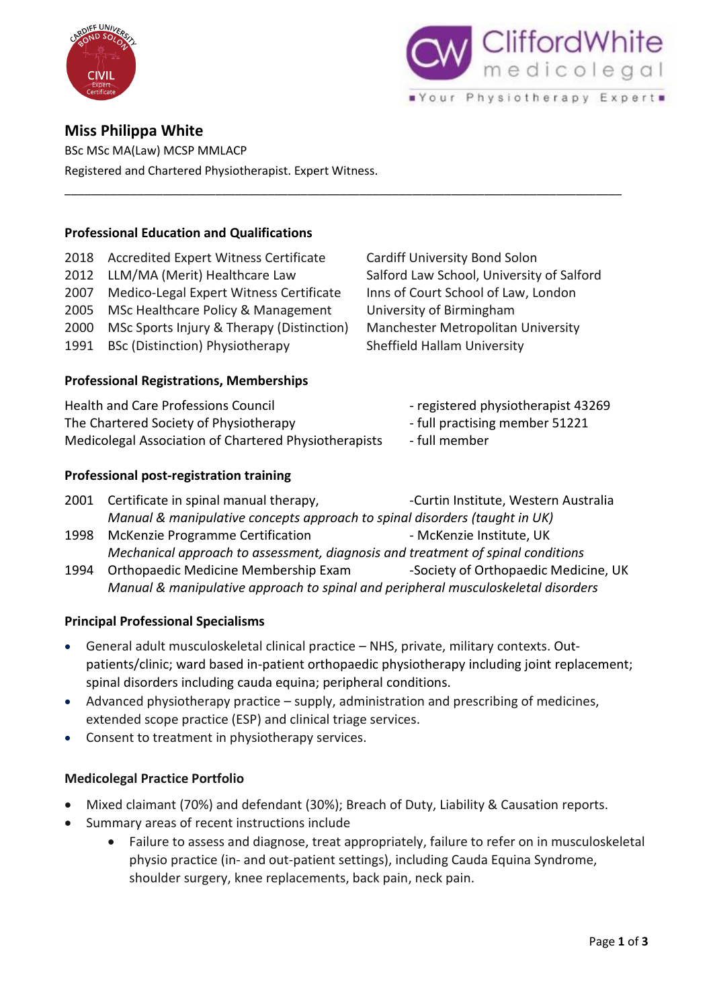



# **Miss Philippa White**

BSc MSc MA(Law) MCSP MMLACP Registered and Chartered Physiotherapist. Expert Witness.

### **Professional Education and Qualifications**

- 2018 Accredited Expert Witness Certificate Cardiff University Bond Solon 2012 LLM/MA (Merit) Healthcare Law Salford Law School, University of Salford 2007 Medico-Legal Expert Witness Certificate Inns of Court School of Law, London 2005 MSc Healthcare Policy & Management University of Birmingham
- 
- 1991 BSc (Distinction) Physiotherapy Sheffield Hallam University

# **Professional Registrations, Memberships**

Health and Care Professions Council - registered physiotherapist 43269 The Chartered Society of Physiotherapy The Charters of S1221 Medicolegal Association of Chartered Physiotherapists - full member

### **Professional post-registration training**

2000 MSc Sports Injury & Therapy (Distinction) Manchester Metropolitan University

- 
- 
- 
- 2001 Certificate in spinal manual therapy, The Curtin Institute, Western Australia *Manual & manipulative concepts approach to spinal disorders (taught in UK)*

\_\_\_\_\_\_\_\_\_\_\_\_\_\_\_\_\_\_\_\_\_\_\_\_\_\_\_\_\_\_\_\_\_\_\_\_\_\_\_\_\_\_\_\_\_\_\_\_\_\_\_\_\_\_\_\_\_\_\_\_\_\_\_\_\_\_\_\_\_\_\_\_\_\_\_\_\_\_\_\_\_\_\_\_\_

- 1998 McKenzie Programme Certification McKenzie Institute, UK *Mechanical approach to assessment, diagnosis and treatment of spinal conditions*
- 1994 Orthopaedic Medicine Membership Exam Society of Orthopaedic Medicine, UK *Manual & manipulative approach to spinal and peripheral musculoskeletal disorders*

# **Principal Professional Specialisms**

- General adult musculoskeletal clinical practice NHS, private, military contexts. Outpatients/clinic; ward based in-patient orthopaedic physiotherapy including joint replacement; spinal disorders including cauda equina; peripheral conditions.
- Advanced physiotherapy practice supply, administration and prescribing of medicines, extended scope practice (ESP) and clinical triage services.
- Consent to treatment in physiotherapy services.

# **Medicolegal Practice Portfolio**

- Mixed claimant (70%) and defendant (30%); Breach of Duty, Liability & Causation reports.
- Summary areas of recent instructions include
	- Failure to assess and diagnose, treat appropriately, failure to refer on in musculoskeletal physio practice (in- and out-patient settings), including Cauda Equina Syndrome, shoulder surgery, knee replacements, back pain, neck pain.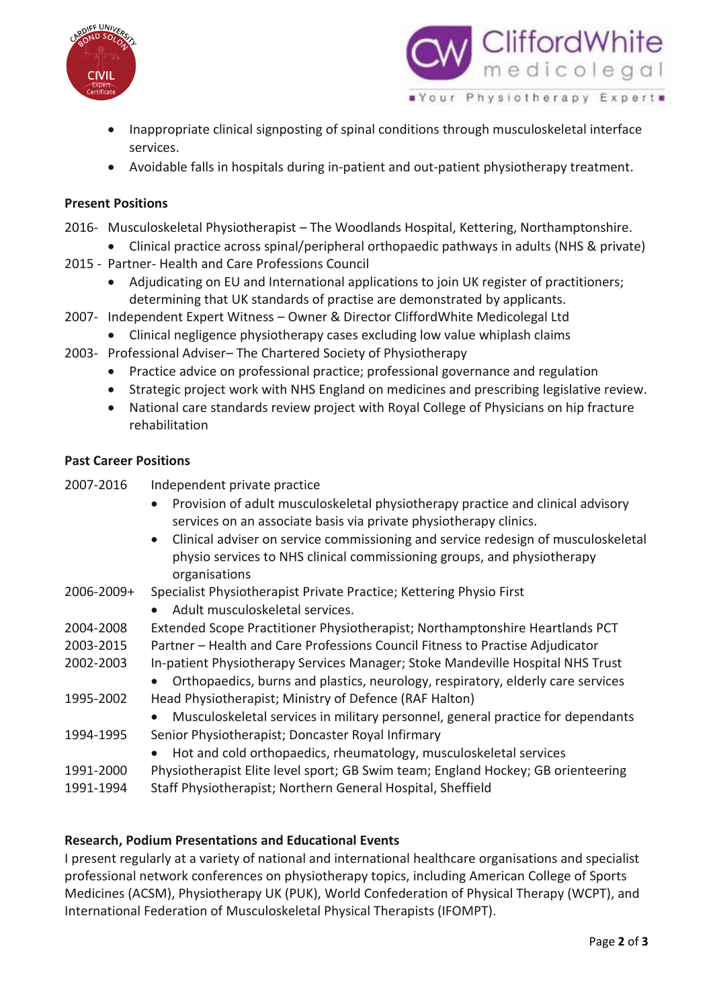



- Inappropriate clinical signposting of spinal conditions through musculoskeletal interface services.
- Avoidable falls in hospitals during in-patient and out-patient physiotherapy treatment.

# **Present Positions**

- 2016- Musculoskeletal Physiotherapist The Woodlands Hospital, Kettering, Northamptonshire.
- Clinical practice across spinal/peripheral orthopaedic pathways in adults (NHS & private)
- 2015 Partner- Health and Care Professions Council
	- Adjudicating on EU and International applications to join UK register of practitioners; determining that UK standards of practise are demonstrated by applicants.
- 2007- Independent Expert Witness Owner & Director CliffordWhite Medicolegal Ltd
	- Clinical negligence physiotherapy cases excluding low value whiplash claims
- 2003- Professional Adviser– The Chartered Society of Physiotherapy
	- Practice advice on professional practice; professional governance and regulation
	- Strategic project work with NHS England on medicines and prescribing legislative review.
	- National care standards review project with Royal College of Physicians on hip fracture rehabilitation

#### **Past Career Positions**

| 2007-2016  | Independent private practice                                                                                                                                                               |
|------------|--------------------------------------------------------------------------------------------------------------------------------------------------------------------------------------------|
|            | Provision of adult musculoskeletal physiotherapy practice and clinical advisory<br>$\bullet$                                                                                               |
|            | services on an associate basis via private physiotherapy clinics.                                                                                                                          |
|            | Clinical adviser on service commissioning and service redesign of musculoskeletal<br>$\bullet$<br>physio services to NHS clinical commissioning groups, and physiotherapy<br>organisations |
| 2006-2009+ | Specialist Physiotherapist Private Practice; Kettering Physio First                                                                                                                        |
|            | Adult musculoskeletal services.<br>$\bullet$                                                                                                                                               |
| 2004-2008  | Extended Scope Practitioner Physiotherapist; Northamptonshire Heartlands PCT                                                                                                               |
| 2003-2015  | Partner - Health and Care Professions Council Fitness to Practise Adjudicator                                                                                                              |
| 2002-2003  | In-patient Physiotherapy Services Manager; Stoke Mandeville Hospital NHS Trust                                                                                                             |
|            | Orthopaedics, burns and plastics, neurology, respiratory, elderly care services                                                                                                            |
| 1995-2002  | Head Physiotherapist; Ministry of Defence (RAF Halton)                                                                                                                                     |
|            | Musculoskeletal services in military personnel, general practice for dependants<br>$\bullet$                                                                                               |
| 1994-1995  | Senior Physiotherapist; Doncaster Royal Infirmary                                                                                                                                          |
|            | Hot and cold orthopaedics, rheumatology, musculoskeletal services                                                                                                                          |
| 1991-2000  | Physiotherapist Elite level sport; GB Swim team; England Hockey; GB orienteering                                                                                                           |
| 1991-1994  | Staff Physiotherapist; Northern General Hospital, Sheffield                                                                                                                                |

#### **Research, Podium Presentations and Educational Events**

I present regularly at a variety of national and international healthcare organisations and specialist professional network conferences on physiotherapy topics, including American College of Sports Medicines (ACSM), Physiotherapy UK (PUK), World Confederation of Physical Therapy (WCPT), and International Federation of Musculoskeletal Physical Therapists (IFOMPT).